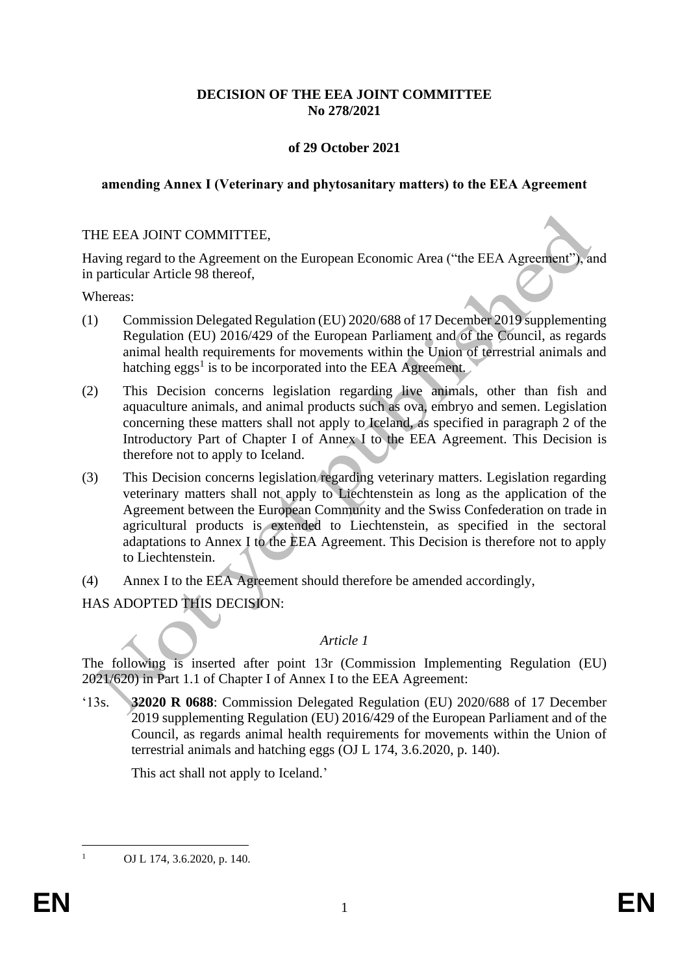# **DECISION OF THE EEA JOINT COMMITTEE No 278/2021**

## **of 29 October 2021**

## **amending Annex I (Veterinary and phytosanitary matters) to the EEA Agreement**

# THE EEA JOINT COMMITTEE,

Having regard to the Agreement on the European Economic Area ("the EEA Agreement"), and in particular Article 98 thereof,

Whereas:

- (1) Commission Delegated Regulation (EU) 2020/688 of 17 December 2019 supplementing Regulation (EU) 2016/429 of the European Parliament and of the Council, as regards animal health requirements for movements within the Union of terrestrial animals and hatching eggs<sup>1</sup> is to be incorporated into the EEA Agreement.
- (2) This Decision concerns legislation regarding live animals, other than fish and aquaculture animals, and animal products such as ova, embryo and semen. Legislation concerning these matters shall not apply to Iceland, as specified in paragraph 2 of the Introductory Part of Chapter I of Annex I to the EEA Agreement. This Decision is therefore not to apply to Iceland.
- (3) This Decision concerns legislation regarding veterinary matters. Legislation regarding veterinary matters shall not apply to Liechtenstein as long as the application of the Agreement between the European Community and the Swiss Confederation on trade in agricultural products is extended to Liechtenstein, as specified in the sectoral adaptations to Annex I to the EEA Agreement. This Decision is therefore not to apply to Liechtenstein.
- (4) Annex I to the EEA Agreement should therefore be amended accordingly,

HAS ADOPTED THIS DECISION:

### *Article 1*

The following is inserted after point 13r (Commission Implementing Regulation (EU) 2021/620) in Part 1.1 of Chapter I of Annex I to the EEA Agreement:

'13s. **32020 R 0688**: Commission Delegated Regulation (EU) 2020/688 of 17 December 2019 supplementing Regulation (EU) 2016/429 of the European Parliament and of the Council, as regards animal health requirements for movements within the Union of terrestrial animals and hatching eggs (OJ L 174, 3.6.2020, p. 140).

This act shall not apply to Iceland.'

OJ L 174, 3.6.2020, p. 140.